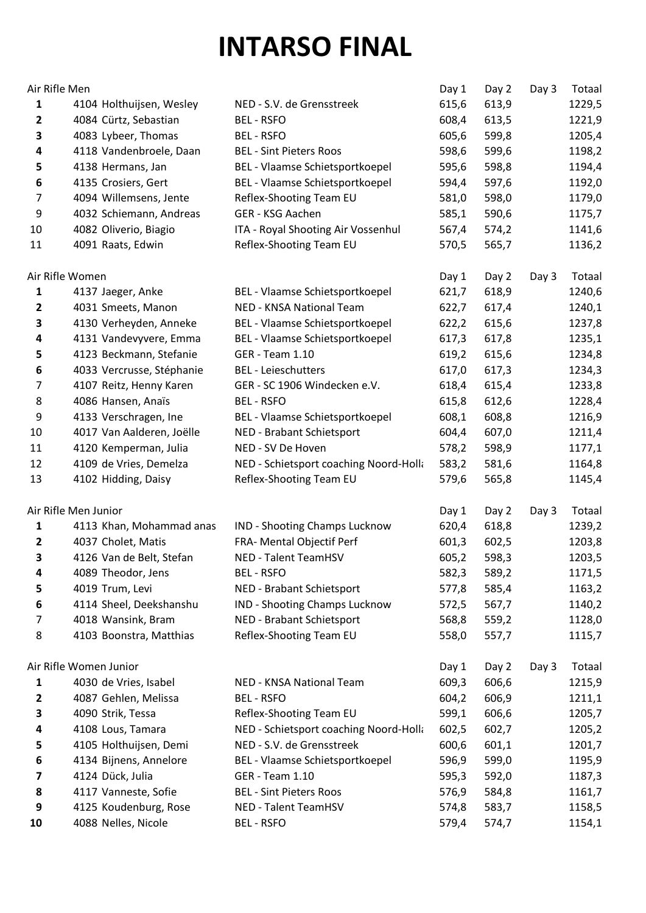## **INTARSO FINAL**

| Air Rifle Men  |                           |                                        | Day 1 | Day 2 | Day 3 | Totaal |
|----------------|---------------------------|----------------------------------------|-------|-------|-------|--------|
| 1              | 4104 Holthuijsen, Wesley  | NED - S.V. de Grensstreek              | 615,6 | 613,9 |       | 1229,5 |
| 2              | 4084 Cürtz, Sebastian     | <b>BEL-RSFO</b>                        | 608,4 | 613,5 |       | 1221,9 |
| 3              | 4083 Lybeer, Thomas       | <b>BEL-RSFO</b>                        | 605,6 | 599,8 |       | 1205,4 |
| 4              | 4118 Vandenbroele, Daan   | <b>BEL - Sint Pieters Roos</b>         | 598,6 | 599,6 |       | 1198,2 |
| 5              | 4138 Hermans, Jan         | BEL - Vlaamse Schietsportkoepel        | 595,6 | 598,8 |       | 1194,4 |
| 6              | 4135 Crosiers, Gert       | BEL - Vlaamse Schietsportkoepel        | 594,4 | 597,6 |       | 1192,0 |
| 7              | 4094 Willemsens, Jente    | Reflex-Shooting Team EU                | 581,0 | 598,0 |       | 1179,0 |
| 9              | 4032 Schiemann, Andreas   | GER - KSG Aachen                       | 585,1 | 590,6 |       | 1175,7 |
| 10             | 4082 Oliverio, Biagio     | ITA - Royal Shooting Air Vossenhul     | 567,4 | 574,2 |       | 1141,6 |
| 11             | 4091 Raats, Edwin         | Reflex-Shooting Team EU                | 570,5 | 565,7 |       | 1136,2 |
|                | Air Rifle Women           |                                        | Day 1 | Day 2 | Day 3 | Totaal |
| 1              | 4137 Jaeger, Anke         | BEL - Vlaamse Schietsportkoepel        | 621,7 | 618,9 |       | 1240,6 |
| $\overline{2}$ | 4031 Smeets, Manon        | NED - KNSA National Team               | 622,7 | 617,4 |       | 1240,1 |
| 3              | 4130 Verheyden, Anneke    | BEL - Vlaamse Schietsportkoepel        | 622,2 | 615,6 |       | 1237,8 |
| 4              | 4131 Vandevyvere, Emma    | BEL - Vlaamse Schietsportkoepel        | 617,3 | 617,8 |       | 1235,1 |
| 5              | 4123 Beckmann, Stefanie   | <b>GER - Team 1.10</b>                 | 619,2 | 615,6 |       | 1234,8 |
| 6              | 4033 Vercrusse, Stéphanie | <b>BEL</b> - Leieschutters             | 617,0 | 617,3 |       | 1234,3 |
| $\overline{7}$ | 4107 Reitz, Henny Karen   | GER - SC 1906 Windecken e.V.           | 618,4 | 615,4 |       | 1233,8 |
| 8              | 4086 Hansen, Anaïs        | <b>BEL-RSFO</b>                        | 615,8 | 612,6 |       | 1228,4 |
| 9              | 4133 Verschragen, Ine     | BEL - Vlaamse Schietsportkoepel        | 608,1 | 608,8 |       | 1216,9 |
| 10             | 4017 Van Aalderen, Joëlle | NED - Brabant Schietsport              | 604,4 | 607,0 |       | 1211,4 |
| 11             | 4120 Kemperman, Julia     | NED - SV De Hoven                      | 578,2 | 598,9 |       | 1177,1 |
| 12             | 4109 de Vries, Demelza    | NED - Schietsport coaching Noord-Holla | 583,2 | 581,6 |       | 1164,8 |
| 13             | 4102 Hidding, Daisy       | Reflex-Shooting Team EU                | 579,6 | 565,8 |       | 1145,4 |
|                | Air Rifle Men Junior      |                                        | Day 1 | Day 2 | Day 3 | Totaal |
| 1              | 4113 Khan, Mohammad anas  | IND - Shooting Champs Lucknow          | 620,4 | 618,8 |       | 1239,2 |
| $\mathbf{2}$   | 4037 Cholet, Matis        | FRA- Mental Objectif Perf              | 601,3 | 602,5 |       | 1203,8 |
| 3              | 4126 Van de Belt, Stefan  | NED - Talent TeamHSV                   | 605,2 | 598,3 |       | 1203,5 |
| 4              | 4089 Theodor, Jens        | <b>BEL - RSFO</b>                      | 582,3 | 589,2 |       | 1171,5 |
| 5              | 4019 Trum, Levi           | NED - Brabant Schietsport              | 577,8 | 585,4 |       | 1163,2 |
| 6              | 4114 Sheel, Deekshanshu   | IND - Shooting Champs Lucknow          | 572,5 | 567,7 |       | 1140,2 |
| 7              | 4018 Wansink, Bram        | NED - Brabant Schietsport              | 568,8 | 559,2 |       | 1128,0 |
| 8              | 4103 Boonstra, Matthias   | Reflex-Shooting Team EU                | 558,0 | 557,7 |       | 1115,7 |
|                | Air Rifle Women Junior    |                                        | Day 1 | Day 2 | Day 3 | Totaal |
| 1              | 4030 de Vries, Isabel     | NED - KNSA National Team               | 609,3 | 606,6 |       | 1215,9 |
| 2              | 4087 Gehlen, Melissa      | <b>BEL-RSFO</b>                        | 604,2 | 606,9 |       | 1211,1 |
| 3              | 4090 Strik, Tessa         | Reflex-Shooting Team EU                | 599,1 | 606,6 |       | 1205,7 |
| 4              | 4108 Lous, Tamara         | NED - Schietsport coaching Noord-Holla | 602,5 | 602,7 |       | 1205,2 |
| 5              | 4105 Holthuijsen, Demi    | NED - S.V. de Grensstreek              | 600,6 | 601,1 |       | 1201,7 |
| 6              | 4134 Bijnens, Annelore    | BEL - Vlaamse Schietsportkoepel        | 596,9 | 599,0 |       | 1195,9 |
| 7              | 4124 Dück, Julia          | GER - Team 1.10                        | 595,3 | 592,0 |       | 1187,3 |
| 8              | 4117 Vanneste, Sofie      | <b>BEL - Sint Pieters Roos</b>         | 576,9 | 584,8 |       | 1161,7 |
| 9              | 4125 Koudenburg, Rose     | <b>NED - Talent TeamHSV</b>            | 574,8 | 583,7 |       | 1158,5 |
| 10             | 4088 Nelles, Nicole       | <b>BEL-RSFO</b>                        | 579,4 | 574,7 |       | 1154,1 |
|                |                           |                                        |       |       |       |        |